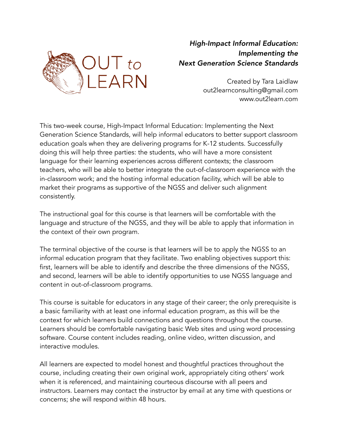

## *High-Impact Informal Education: Implementing the Next Generation Science Standards*

Created by Tara Laidlaw out2learnconsulting@gmail.com www.out2learn.com

This two-week course, High-Impact Informal Education: Implementing the Next Generation Science Standards, will help informal educators to better support classroom education goals when they are delivering programs for K-12 students. Successfully doing this will help three parties: the students, who will have a more consistent language for their learning experiences across different contexts; the classroom teachers, who will be able to better integrate the out-of-classroom experience with the in-classroom work; and the hosting informal education facility, which will be able to market their programs as supportive of the NGSS and deliver such alignment consistently.

The instructional goal for this course is that learners will be comfortable with the language and structure of the NGSS, and they will be able to apply that information in the context of their own program.

The terminal objective of the course is that learners will be to apply the NGSS to an informal education program that they facilitate. Two enabling objectives support this: first, learners will be able to identify and describe the three dimensions of the NGSS, and second, learners will be able to identify opportunities to use NGSS language and content in out-of-classroom programs.

This course is suitable for educators in any stage of their career; the only prerequisite is a basic familiarity with at least one informal education program, as this will be the context for which learners build connections and questions throughout the course. Learners should be comfortable navigating basic Web sites and using word processing software. Course content includes reading, online video, written discussion, and interactive modules.

All learners are expected to model honest and thoughtful practices throughout the course, including creating their own original work, appropriately citing others' work when it is referenced, and maintaining courteous discourse with all peers and instructors. Learners may contact the instructor by email at any time with questions or concerns; she will respond within 48 hours.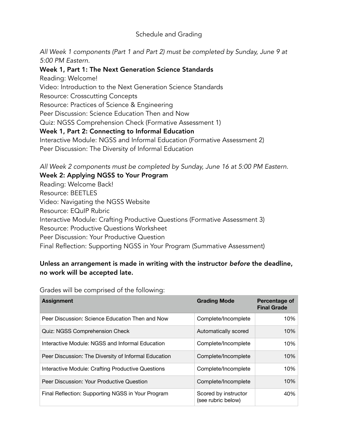## Schedule and Grading

*All Week 1 components (Part 1 and Part 2) must be completed by Sunday, June 9 at 5:00 PM Eastern.*

Week 1, Part 1: The Next Generation Science Standards Reading: Welcome! Video: Introduction to the Next Generation Science Standards Resource: Crosscutting Concepts Resource: Practices of Science & Engineering Peer Discussion: Science Education Then and Now Quiz: NGSS Comprehension Check (Formative Assessment 1) Week 1, Part 2: Connecting to Informal Education Interactive Module: NGSS and Informal Education (Formative Assessment 2) Peer Discussion: The Diversity of Informal Education

*All Week 2 components must be completed by Sunday, June 16 at 5:00 PM Eastern.* Week 2: Applying NGSS to Your Program

Reading: Welcome Back! Resource: BEETLES Video: Navigating the NGSS Website Resource: EQuIP Rubric Interactive Module: Crafting Productive Questions (Formative Assessment 3) Resource: Productive Questions Worksheet Peer Discussion: Your Productive Question Final Reflection: Supporting NGSS in Your Program (Summative Assessment)

## Unless an arrangement is made in writing with the instructor *before* the deadline, no work will be accepted late.

**Assignment Grading Mode Percentage of Final Grade** Peer Discussion: Science Education Then and Now Complete/Incomplete 10% Quiz: NGSS Comprehension Check Automatically scored 10% Interactive Module: NGSS and Informal Education Complete/Incomplete 10% Peer Discussion: The Diversity of Informal Education Complete/Incomplete 10% Interactive Module: Crafting Productive Questions Complete/Incomplete 10% Peer Discussion: Your Productive Question Complete/Incomplete 10% Final Reflection: Supporting NGSS in Your Program Scored by instructor (see rubric below) 40%

Grades will be comprised of the following: